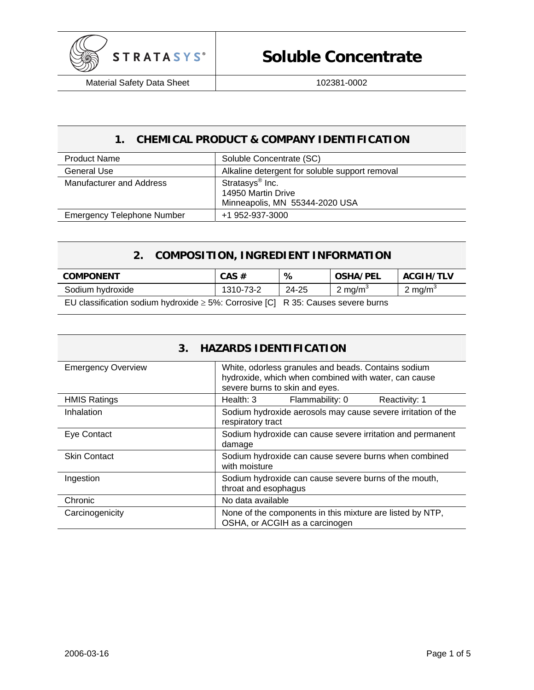

## **1. CHEMICAL PRODUCT & COMPANY IDENTIFICATION**

| <b>Product Name</b>               | Soluble Concentrate (SC)                                                            |
|-----------------------------------|-------------------------------------------------------------------------------------|
| General Use                       | Alkaline detergent for soluble support removal                                      |
| Manufacturer and Address          | Stratasys <sup>®</sup> Inc.<br>14950 Martin Drive<br>Minneapolis, MN 55344-2020 USA |
| <b>Emergency Telephone Number</b> | +1 952-937-3000                                                                     |

## **2. COMPOSITION, INGREDIENT INFORMATION**

| <b>COMPONENT</b>                                                                      | $CAS \#$  | ℅     | <b>OSHA/PEL</b>     | <b>ACGIH/TLV</b>    |
|---------------------------------------------------------------------------------------|-----------|-------|---------------------|---------------------|
| Sodium hydroxide                                                                      | 1310-73-2 | 24-25 | 2 mg/m <sup>3</sup> | 2 mg/m <sup>3</sup> |
| EU classification sodium hydroxide $\geq$ 5%: Corrosive [C] R 35: Causes severe burns |           |       |                     |                     |

| <b>HAZARDS IDENTIFICATION</b><br>3. |                                                                                                                                               |  |
|-------------------------------------|-----------------------------------------------------------------------------------------------------------------------------------------------|--|
| <b>Emergency Overview</b>           | White, odorless granules and beads. Contains sodium<br>hydroxide, which when combined with water, can cause<br>severe burns to skin and eyes. |  |
| <b>HMIS Ratings</b>                 | Health: 3<br>Flammability: 0<br>Reactivity: 1                                                                                                 |  |
| Inhalation                          | Sodium hydroxide aerosols may cause severe irritation of the<br>respiratory tract                                                             |  |
| Eye Contact                         | Sodium hydroxide can cause severe irritation and permanent<br>damage                                                                          |  |
| <b>Skin Contact</b>                 | Sodium hydroxide can cause severe burns when combined<br>with moisture                                                                        |  |
| Ingestion                           | Sodium hydroxide can cause severe burns of the mouth,<br>throat and esophagus                                                                 |  |
| Chronic                             | No data available                                                                                                                             |  |
| Carcinogenicity                     | None of the components in this mixture are listed by NTP,<br>OSHA, or ACGIH as a carcinogen                                                   |  |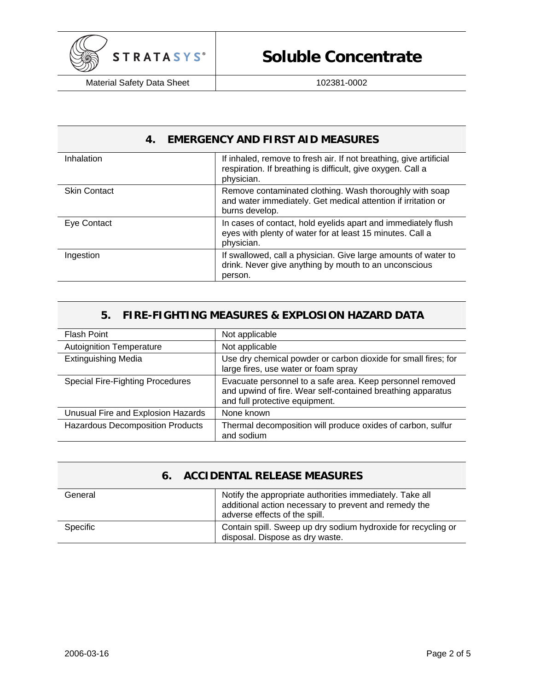

## **4. EMERGENCY AND FIRST AID MEASURES**

| Inhalation          | If inhaled, remove to fresh air. If not breathing, give artificial<br>respiration. If breathing is difficult, give oxygen. Call a<br>physician. |
|---------------------|-------------------------------------------------------------------------------------------------------------------------------------------------|
| <b>Skin Contact</b> | Remove contaminated clothing. Wash thoroughly with soap<br>and water immediately. Get medical attention if irritation or<br>burns develop.      |
| Eye Contact         | In cases of contact, hold eyelids apart and immediately flush<br>eyes with plenty of water for at least 15 minutes. Call a<br>physician.        |
| Ingestion           | If swallowed, call a physician. Give large amounts of water to<br>drink. Never give anything by mouth to an unconscious<br>person.              |

#### **5. FIRE-FIGHTING MEASURES & EXPLOSION HAZARD DATA**

| Flash Point                             | Not applicable                                                                                                                                             |
|-----------------------------------------|------------------------------------------------------------------------------------------------------------------------------------------------------------|
| <b>Autoignition Temperature</b>         | Not applicable                                                                                                                                             |
| <b>Extinguishing Media</b>              | Use dry chemical powder or carbon dioxide for small fires; for<br>large fires, use water or foam spray                                                     |
| <b>Special Fire-Fighting Procedures</b> | Evacuate personnel to a safe area. Keep personnel removed<br>and upwind of fire. Wear self-contained breathing apparatus<br>and full protective equipment. |
| Unusual Fire and Explosion Hazards      | None known                                                                                                                                                 |
| <b>Hazardous Decomposition Products</b> | Thermal decomposition will produce oxides of carbon, sulfur<br>and sodium                                                                                  |

#### **6. ACCIDENTAL RELEASE MEASURES**

| General  | Notify the appropriate authorities immediately. Take all<br>additional action necessary to prevent and remedy the<br>adverse effects of the spill. |
|----------|----------------------------------------------------------------------------------------------------------------------------------------------------|
| Specific | Contain spill. Sweep up dry sodium hydroxide for recycling or<br>disposal. Dispose as dry waste.                                                   |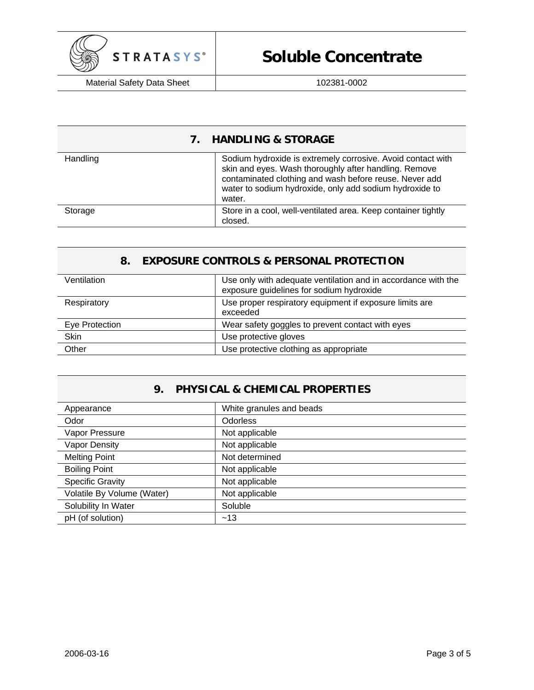

# **Soluble Concentrate**

Material Safety Data Sheet | 102381-0002

## **7. HANDLING & STORAGE**

| Handling | Sodium hydroxide is extremely corrosive. Avoid contact with<br>skin and eyes. Wash thoroughly after handling. Remove<br>contaminated clothing and wash before reuse. Never add<br>water to sodium hydroxide, only add sodium hydroxide to<br>water. |
|----------|-----------------------------------------------------------------------------------------------------------------------------------------------------------------------------------------------------------------------------------------------------|
| Storage  | Store in a cool, well-ventilated area. Keep container tightly<br>closed.                                                                                                                                                                            |

### **8. EXPOSURE CONTROLS & PERSONAL PROTECTION**

| Ventilation    | Use only with adequate ventilation and in accordance with the<br>exposure guidelines for sodium hydroxide |
|----------------|-----------------------------------------------------------------------------------------------------------|
| Respiratory    | Use proper respiratory equipment if exposure limits are<br>exceeded                                       |
| Eye Protection | Wear safety goggles to prevent contact with eyes                                                          |
| Skin           | Use protective gloves                                                                                     |
| Other          | Use protective clothing as appropriate                                                                    |

## **9. PHYSICAL & CHEMICAL PROPERTIES**

| Appearance                 | White granules and beads |
|----------------------------|--------------------------|
| Odor                       | <b>Odorless</b>          |
| Vapor Pressure             | Not applicable           |
| <b>Vapor Density</b>       | Not applicable           |
| <b>Melting Point</b>       | Not determined           |
| <b>Boiling Point</b>       | Not applicable           |
| <b>Specific Gravity</b>    | Not applicable           |
| Volatile By Volume (Water) | Not applicable           |
| Solubility In Water        | Soluble                  |
| pH (of solution)           | ~13                      |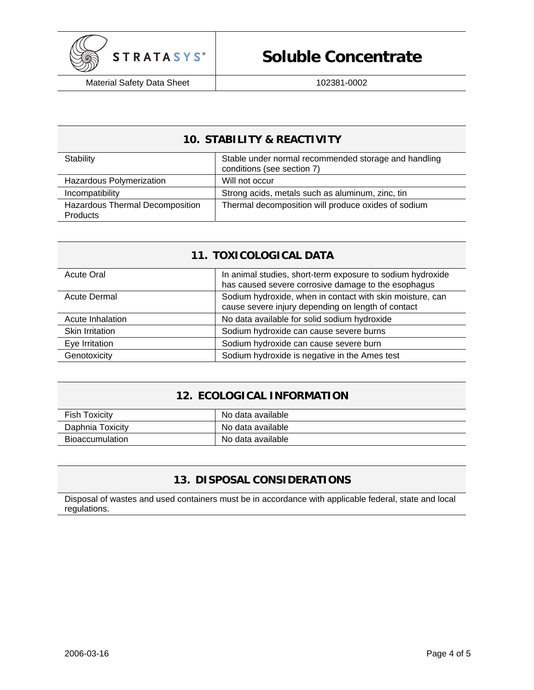

## **10. STABILITY & REACTIVITY**

| Stability                                          | Stable under normal recommended storage and handling<br>conditions (see section 7) |
|----------------------------------------------------|------------------------------------------------------------------------------------|
| Hazardous Polymerization                           | Will not occur                                                                     |
| Incompatibility                                    | Strong acids, metals such as aluminum, zinc, tin                                   |
| Hazardous Thermal Decomposition<br><b>Products</b> | Thermal decomposition will produce oxides of sodium                                |

### **11. TOXICOLOGICAL DATA**

| <b>Acute Oral</b>      | In animal studies, short-term exposure to sodium hydroxide<br>has caused severe corrosive damage to the esophagus |
|------------------------|-------------------------------------------------------------------------------------------------------------------|
| Acute Dermal           | Sodium hydroxide, when in contact with skin moisture, can<br>cause severe injury depending on length of contact   |
| Acute Inhalation       | No data available for solid sodium hydroxide                                                                      |
| <b>Skin Irritation</b> | Sodium hydroxide can cause severe burns                                                                           |
| Eye Irritation         | Sodium hydroxide can cause severe burn                                                                            |
| Genotoxicity           | Sodium hydroxide is negative in the Ames test                                                                     |

## **12. ECOLOGICAL INFORMATION**

| <b>Fish Toxicity</b>   | No data available |
|------------------------|-------------------|
| Daphnia Toxicity       | No data available |
| <b>Bioaccumulation</b> | No data available |

## **13. DISPOSAL CONSIDERATIONS**

Disposal of wastes and used containers must be in accordance with applicable federal, state and local regulations.